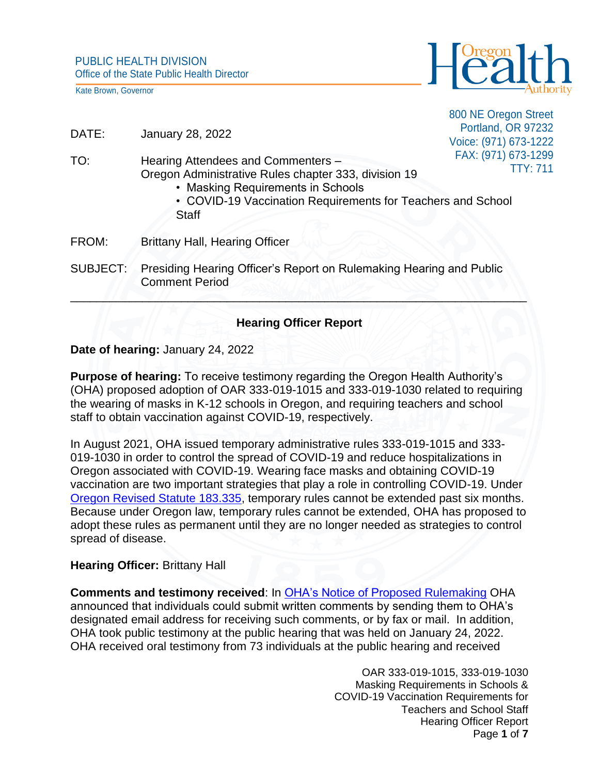Kate Brown, Governor



800 NE Oregon Street Portland, OR 97232 Voice: (971) 673-1222 FAX: (971) 673-1299 TTY: 711

- DATE: January 28, 2022
- TO: Hearing Attendees and Commenters Oregon Administrative Rules chapter 333, division 19
	- Masking Requirements in Schools
	- COVID-19 Vaccination Requirements for Teachers and School **Staff**
- FROM: Brittany Hall, Hearing Officer
- SUBJECT: Presiding Hearing Officer's Report on Rulemaking Hearing and Public Comment Period

## **Hearing Officer Report**

 $\frac{1}{1-\epsilon}$   $\frac{1}{1-\epsilon}$   $\frac{1}{1-\epsilon}$   $\frac{1}{1-\epsilon}$   $\frac{1}{1-\epsilon}$   $\frac{1}{1-\epsilon}$   $\frac{1}{1-\epsilon}$   $\frac{1}{1-\epsilon}$   $\frac{1}{1-\epsilon}$   $\frac{1}{1-\epsilon}$   $\frac{1}{1-\epsilon}$   $\frac{1}{1-\epsilon}$   $\frac{1}{1-\epsilon}$   $\frac{1}{1-\epsilon}$   $\frac{1}{1-\epsilon}$   $\frac{1}{1-\epsilon}$   $\frac{1}{1-\epsilon}$   $\frac{1}{1-\epsilon}$   $\frac{1$ 

## **Date of hearing:** January 24, 2022

**Purpose of hearing:** To receive testimony regarding the Oregon Health Authority's (OHA) proposed adoption of OAR 333-019-1015 and 333-019-1030 related to requiring the wearing of masks in K-12 schools in Oregon, and requiring teachers and school staff to obtain vaccination against COVID-19, respectively.

In August 2021, OHA issued temporary administrative rules 333-019-1015 and 333- 019-1030 in order to control the spread of COVID-19 and reduce hospitalizations in Oregon associated with COVID-19. Wearing face masks and obtaining COVID-19 vaccination are two important strategies that play a role in controlling COVID-19. Under [Oregon Revised Statute 183.335,](https://www.oregonlegislature.gov/bills_laws/ors/ors183.html) temporary rules cannot be extended past six months. Because under Oregon law, temporary rules cannot be extended, OHA has proposed to adopt these rules as permanent until they are no longer needed as strategies to control spread of disease.

## **Hearing Officer:** Brittany Hall

**Comments and testimony received**: In [OHA's Notice of Proposed Rulemaking](https://www.oregon.gov/oha/PH/DISEASESCONDITIONS/COMMUNICABLEDISEASE/REPORTINGCOMMUNICABLEDISEASE/Documents/rules/2021/5%20rules/333-019-1015--1030-Masking-Vaccination-in-Schools-Notice-of-Proposed-Rulemaking.pdf) OHA announced that individuals could submit written comments by sending them to OHA's designated email address for receiving such comments, or by fax or mail. In addition, OHA took public testimony at the public hearing that was held on January 24, 2022. OHA received oral testimony from 73 individuals at the public hearing and received

> OAR 333-019-1015, 333-019-1030 Masking Requirements in Schools & COVID-19 Vaccination Requirements for Teachers and School Staff Hearing Officer Report Page **1** of **7**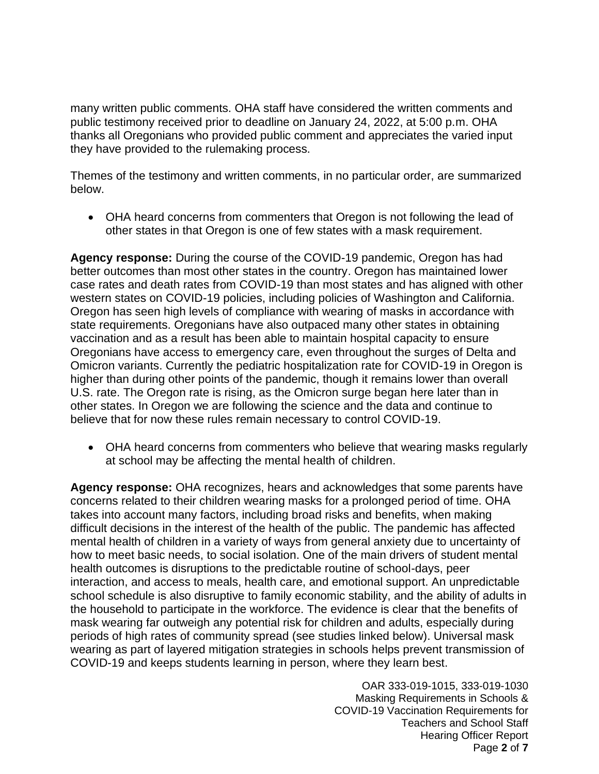many written public comments. OHA staff have considered the written comments and public testimony received prior to deadline on January 24, 2022, at 5:00 p.m. OHA thanks all Oregonians who provided public comment and appreciates the varied input they have provided to the rulemaking process.

Themes of the testimony and written comments, in no particular order, are summarized below.

• OHA heard concerns from commenters that Oregon is not following the lead of other states in that Oregon is one of few states with a mask requirement.

**Agency response:** During the course of the COVID-19 pandemic, Oregon has had better outcomes than most other states in the country. Oregon has maintained lower case rates and death rates from COVID-19 than most states and has aligned with other western states on COVID-19 policies, including policies of Washington and California. Oregon has seen high levels of compliance with wearing of masks in accordance with state requirements. Oregonians have also outpaced many other states in obtaining vaccination and as a result has been able to maintain hospital capacity to ensure Oregonians have access to emergency care, even throughout the surges of Delta and Omicron variants. Currently the pediatric hospitalization rate for COVID-19 in Oregon is higher than during other points of the pandemic, though it remains lower than overall U.S. rate. The Oregon rate is rising, as the Omicron surge began here later than in other states. In Oregon we are following the science and the data and continue to believe that for now these rules remain necessary to control COVID-19.

• OHA heard concerns from commenters who believe that wearing masks regularly at school may be affecting the mental health of children.

**Agency response:** OHA recognizes, hears and acknowledges that some parents have concerns related to their children wearing masks for a prolonged period of time. OHA takes into account many factors, including broad risks and benefits, when making difficult decisions in the interest of the health of the public. The pandemic has affected mental health of children in a variety of ways from general anxiety due to uncertainty of how to meet basic needs, to social isolation. One of the main drivers of student mental health outcomes is disruptions to the predictable routine of school-days, peer interaction, and access to meals, health care, and emotional support. An unpredictable school schedule is also disruptive to family economic stability, and the ability of adults in the household to participate in the workforce. The evidence is clear that the benefits of mask wearing far outweigh any potential risk for children and adults, especially during periods of high rates of community spread (see studies linked below). Universal mask wearing as part of layered mitigation strategies in schools helps prevent transmission of COVID-19 and keeps students learning in person, where they learn best.

> OAR 333-019-1015, 333-019-1030 Masking Requirements in Schools & COVID-19 Vaccination Requirements for Teachers and School Staff Hearing Officer Report Page **2** of **7**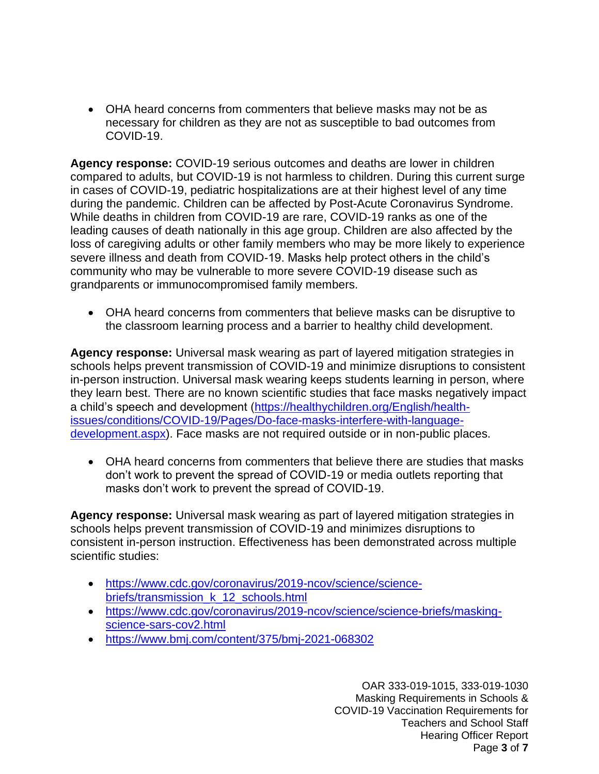• OHA heard concerns from commenters that believe masks may not be as necessary for children as they are not as susceptible to bad outcomes from COVID-19.

**Agency response:** COVID-19 serious outcomes and deaths are lower in children compared to adults, but COVID-19 is not harmless to children. During this current surge in cases of COVID-19, pediatric hospitalizations are at their highest level of any time during the pandemic. Children can be affected by Post-Acute Coronavirus Syndrome. While deaths in children from COVID-19 are rare, COVID-19 ranks as one of the leading causes of death nationally in this age group. Children are also affected by the loss of caregiving adults or other family members who may be more likely to experience severe illness and death from COVID-19. Masks help protect others in the child's community who may be vulnerable to more severe COVID-19 disease such as grandparents or immunocompromised family members.

• OHA heard concerns from commenters that believe masks can be disruptive to the classroom learning process and a barrier to healthy child development.

**Agency response:** Universal mask wearing as part of layered mitigation strategies in schools helps prevent transmission of COVID-19 and minimize disruptions to consistent in-person instruction. Universal mask wearing keeps students learning in person, where they learn best. There are no known scientific studies that face masks negatively impact a child's speech and development [\(https://healthychildren.org/English/health](https://healthychildren.org/English/health-issues/conditions/COVID-19/Pages/Do-face-masks-interfere-with-language-development.aspx)[issues/conditions/COVID-19/Pages/Do-face-masks-interfere-with-language](https://healthychildren.org/English/health-issues/conditions/COVID-19/Pages/Do-face-masks-interfere-with-language-development.aspx)[development.aspx\)](https://healthychildren.org/English/health-issues/conditions/COVID-19/Pages/Do-face-masks-interfere-with-language-development.aspx). Face masks are not required outside or in non-public places.

• OHA heard concerns from commenters that believe there are studies that masks don't work to prevent the spread of COVID-19 or media outlets reporting that masks don't work to prevent the spread of COVID-19.

**Agency response:** Universal mask wearing as part of layered mitigation strategies in schools helps prevent transmission of COVID-19 and minimizes disruptions to consistent in-person instruction. Effectiveness has been demonstrated across multiple scientific studies:

- [https://www.cdc.gov/coronavirus/2019-ncov/science/science](https://www.cdc.gov/coronavirus/2019-ncov/science/science-briefs/transmission_k_12_schools.html)briefs/transmission k 12 schools.html
- [https://www.cdc.gov/coronavirus/2019-ncov/science/science-briefs/masking](https://www.cdc.gov/coronavirus/2019-ncov/science/science-briefs/masking-science-sars-cov2.html)[science-sars-cov2.html](https://www.cdc.gov/coronavirus/2019-ncov/science/science-briefs/masking-science-sars-cov2.html)
- <https://www.bmj.com/content/375/bmj-2021-068302>

OAR 333-019-1015, 333-019-1030 Masking Requirements in Schools & COVID-19 Vaccination Requirements for Teachers and School Staff Hearing Officer Report Page **3** of **7**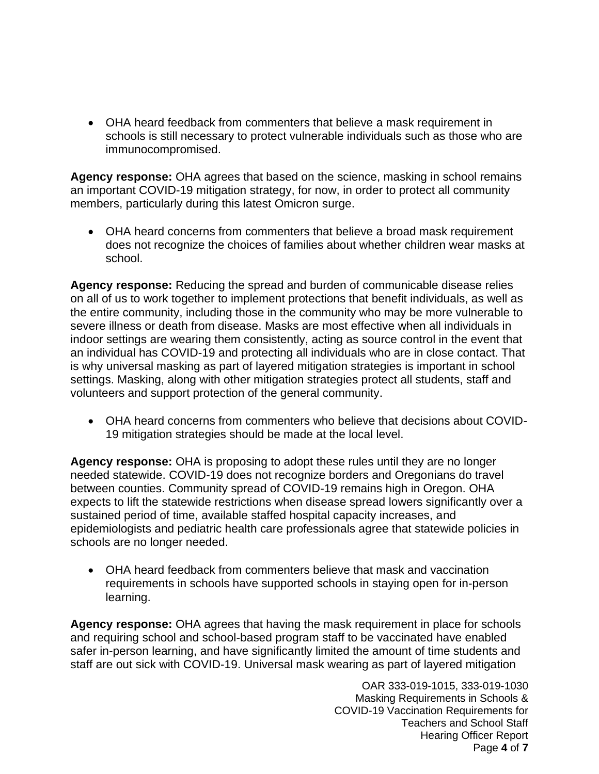• OHA heard feedback from commenters that believe a mask requirement in schools is still necessary to protect vulnerable individuals such as those who are immunocompromised.

**Agency response:** OHA agrees that based on the science, masking in school remains an important COVID-19 mitigation strategy, for now, in order to protect all community members, particularly during this latest Omicron surge.

• OHA heard concerns from commenters that believe a broad mask requirement does not recognize the choices of families about whether children wear masks at school.

**Agency response:** Reducing the spread and burden of communicable disease relies on all of us to work together to implement protections that benefit individuals, as well as the entire community, including those in the community who may be more vulnerable to severe illness or death from disease. Masks are most effective when all individuals in indoor settings are wearing them consistently, acting as source control in the event that an individual has COVID-19 and protecting all individuals who are in close contact. That is why universal masking as part of layered mitigation strategies is important in school settings. Masking, along with other mitigation strategies protect all students, staff and volunteers and support protection of the general community.

• OHA heard concerns from commenters who believe that decisions about COVID-19 mitigation strategies should be made at the local level.

**Agency response:** OHA is proposing to adopt these rules until they are no longer needed statewide. COVID-19 does not recognize borders and Oregonians do travel between counties. Community spread of COVID-19 remains high in Oregon. OHA expects to lift the statewide restrictions when disease spread lowers significantly over a sustained period of time, available staffed hospital capacity increases, and epidemiologists and pediatric health care professionals agree that statewide policies in schools are no longer needed.

• OHA heard feedback from commenters believe that mask and vaccination requirements in schools have supported schools in staying open for in-person learning.

**Agency response:** OHA agrees that having the mask requirement in place for schools and requiring school and school-based program staff to be vaccinated have enabled safer in-person learning, and have significantly limited the amount of time students and staff are out sick with COVID-19. Universal mask wearing as part of layered mitigation

> OAR 333-019-1015, 333-019-1030 Masking Requirements in Schools & COVID-19 Vaccination Requirements for Teachers and School Staff Hearing Officer Report Page **4** of **7**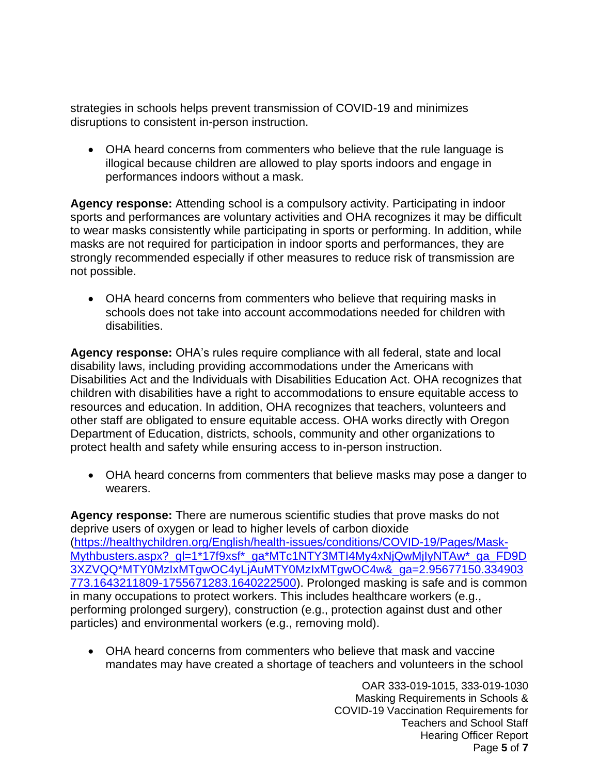strategies in schools helps prevent transmission of COVID-19 and minimizes disruptions to consistent in-person instruction.

• OHA heard concerns from commenters who believe that the rule language is illogical because children are allowed to play sports indoors and engage in performances indoors without a mask.

**Agency response:** Attending school is a compulsory activity. Participating in indoor sports and performances are voluntary activities and OHA recognizes it may be difficult to wear masks consistently while participating in sports or performing. In addition, while masks are not required for participation in indoor sports and performances, they are strongly recommended especially if other measures to reduce risk of transmission are not possible.

• OHA heard concerns from commenters who believe that requiring masks in schools does not take into account accommodations needed for children with disabilities.

**Agency response:** OHA's rules require compliance with all federal, state and local disability laws, including providing accommodations under the Americans with Disabilities Act and the Individuals with Disabilities Education Act. OHA recognizes that children with disabilities have a right to accommodations to ensure equitable access to resources and education. In addition, OHA recognizes that teachers, volunteers and other staff are obligated to ensure equitable access. OHA works directly with Oregon Department of Education, districts, schools, community and other organizations to protect health and safety while ensuring access to in-person instruction.

• OHA heard concerns from commenters that believe masks may pose a danger to wearers.

**Agency response:** There are numerous scientific studies that prove masks do not deprive users of oxygen or lead to higher levels of carbon dioxide [\(https://healthychildren.org/English/health-issues/conditions/COVID-19/Pages/Mask-](https://healthychildren.org/English/health-issues/conditions/COVID-19/Pages/Mask-Mythbusters.aspx?_gl=1*17f9xsf*_ga*MTc1NTY3MTI4My4xNjQwMjIyNTAw*_ga_FD9D3XZVQQ*MTY0MzIxMTgwOC4yLjAuMTY0MzIxMTgwOC4w&_ga=2.95677150.334903773.1643211809-1755671283.1640222500)Mythbusters.aspx? ql=1\*17f9xsf\* qa\*MTc1NTY3MTI4My4xNjQwMjIyNTAw\* qa\_FD9D [3XZVQQ\\*MTY0MzIxMTgwOC4yLjAuMTY0MzIxMTgwOC4w&\\_ga=2.95677150.334903](https://healthychildren.org/English/health-issues/conditions/COVID-19/Pages/Mask-Mythbusters.aspx?_gl=1*17f9xsf*_ga*MTc1NTY3MTI4My4xNjQwMjIyNTAw*_ga_FD9D3XZVQQ*MTY0MzIxMTgwOC4yLjAuMTY0MzIxMTgwOC4w&_ga=2.95677150.334903773.1643211809-1755671283.1640222500) [773.1643211809-1755671283.1640222500\)](https://healthychildren.org/English/health-issues/conditions/COVID-19/Pages/Mask-Mythbusters.aspx?_gl=1*17f9xsf*_ga*MTc1NTY3MTI4My4xNjQwMjIyNTAw*_ga_FD9D3XZVQQ*MTY0MzIxMTgwOC4yLjAuMTY0MzIxMTgwOC4w&_ga=2.95677150.334903773.1643211809-1755671283.1640222500). Prolonged masking is safe and is common in many occupations to protect workers. This includes healthcare workers (e.g., performing prolonged surgery), construction (e.g., protection against dust and other particles) and environmental workers (e.g., removing mold).

• OHA heard concerns from commenters who believe that mask and vaccine mandates may have created a shortage of teachers and volunteers in the school

> OAR 333-019-1015, 333-019-1030 Masking Requirements in Schools & COVID-19 Vaccination Requirements for Teachers and School Staff Hearing Officer Report Page **5** of **7**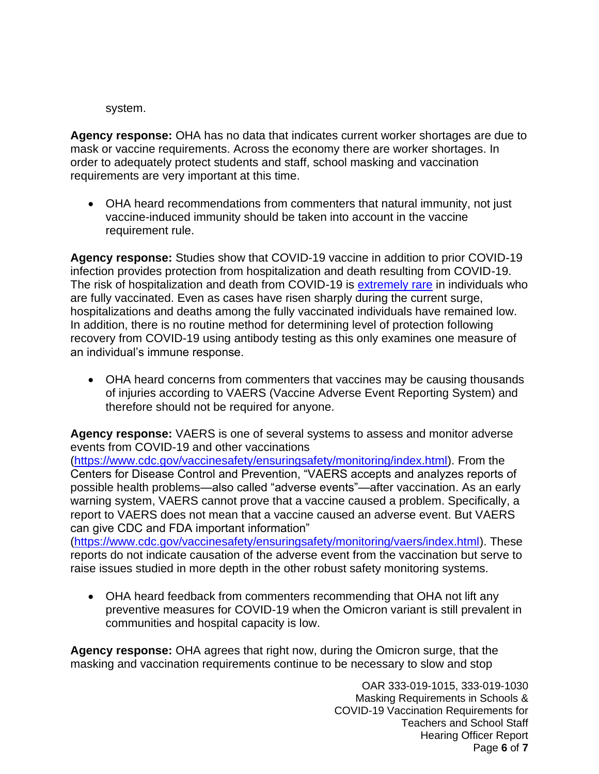system.

**Agency response:** OHA has no data that indicates current worker shortages are due to mask or vaccine requirements. Across the economy there are worker shortages. In order to adequately protect students and staff, school masking and vaccination requirements are very important at this time.

• OHA heard recommendations from commenters that natural immunity, not just vaccine-induced immunity should be taken into account in the vaccine requirement rule.

**Agency response:** Studies show that COVID-19 vaccine in addition to prior COVID-19 infection provides protection from hospitalization and death resulting from COVID-19. The risk of hospitalization and death from COVID-19 is [extremely rare](https://www.oregon.gov/oha/covid19/Documents/DataReports/Breakthrough-Case-Report.pdf) in individuals who are fully vaccinated. Even as cases have risen sharply during the current surge, hospitalizations and deaths among the fully vaccinated individuals have remained low. In addition, there is no routine method for determining level of protection following recovery from COVID-19 using antibody testing as this only examines one measure of an individual's immune response.

• OHA heard concerns from commenters that vaccines may be causing thousands of injuries according to VAERS (Vaccine Adverse Event Reporting System) and therefore should not be required for anyone.

**Agency response:** VAERS is one of several systems to assess and monitor adverse events from COVID-19 and other vaccinations

[\(https://www.cdc.gov/vaccinesafety/ensuringsafety/monitoring/index.html\)](https://www.cdc.gov/vaccinesafety/ensuringsafety/monitoring/index.html). From the Centers for Disease Control and Prevention, "VAERS accepts and analyzes reports of possible health problems—also called "adverse events"—after vaccination. As an early warning system, VAERS cannot prove that a vaccine caused a problem. Specifically, a report to VAERS does not mean that a vaccine caused an adverse event. But VAERS can give CDC and FDA important information"

[\(https://www.cdc.gov/vaccinesafety/ensuringsafety/monitoring/vaers/index.html\)](https://www.cdc.gov/vaccinesafety/ensuringsafety/monitoring/vaers/index.html). These reports do not indicate causation of the adverse event from the vaccination but serve to raise issues studied in more depth in the other robust safety monitoring systems.

• OHA heard feedback from commenters recommending that OHA not lift any preventive measures for COVID-19 when the Omicron variant is still prevalent in communities and hospital capacity is low.

**Agency response:** OHA agrees that right now, during the Omicron surge, that the masking and vaccination requirements continue to be necessary to slow and stop

> OAR 333-019-1015, 333-019-1030 Masking Requirements in Schools & COVID-19 Vaccination Requirements for Teachers and School Staff Hearing Officer Report Page **6** of **7**